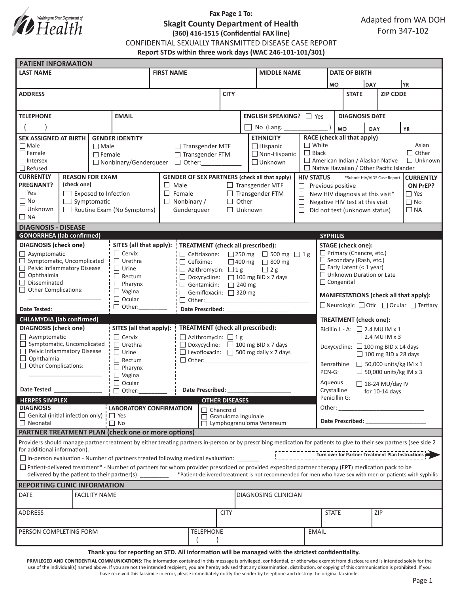

# **Fax Page 1 To: Skagit County Department of Health (360) 416-1515 (Confidential FAX line)**

CONFIDENTIAL SEXUALLY TRANSMITTED DISEASE CASE REPORT

**Report STDs within three work days (WAC 246-101-101/301)**

| <b>PATIENT INFORMATION</b>                                                                                     |                             |                      |                                 |                                                                                    |                                                                                                                                                                     |                                                   |                               |                             |                                                                                                                                                                                                                                |                                                                                                       |                                              |                               |                             |              |  |
|----------------------------------------------------------------------------------------------------------------|-----------------------------|----------------------|---------------------------------|------------------------------------------------------------------------------------|---------------------------------------------------------------------------------------------------------------------------------------------------------------------|---------------------------------------------------|-------------------------------|-----------------------------|--------------------------------------------------------------------------------------------------------------------------------------------------------------------------------------------------------------------------------|-------------------------------------------------------------------------------------------------------|----------------------------------------------|-------------------------------|-----------------------------|--------------|--|
| <b>LAST NAME</b>                                                                                               |                             |                      |                                 | <b>FIRST NAME</b>                                                                  |                                                                                                                                                                     |                                                   |                               | <b>MIDDLE NAME</b>          |                                                                                                                                                                                                                                |                                                                                                       | <b>DATE OF BIRTH</b>                         |                               |                             |              |  |
|                                                                                                                |                             |                      |                                 |                                                                                    |                                                                                                                                                                     |                                                   |                               |                             |                                                                                                                                                                                                                                |                                                                                                       | DAY<br><b>MO</b>                             |                               | YR)                         |              |  |
| <b>ADDRESS</b>                                                                                                 |                             |                      |                                 |                                                                                    |                                                                                                                                                                     | <b>CITY</b>                                       |                               |                             |                                                                                                                                                                                                                                |                                                                                                       | <b>STATE</b>                                 |                               | <b>ZIP CODE</b>             |              |  |
|                                                                                                                |                             |                      |                                 |                                                                                    |                                                                                                                                                                     |                                                   |                               |                             |                                                                                                                                                                                                                                |                                                                                                       |                                              |                               |                             |              |  |
| <b>EMAIL</b><br><b>TELEPHONE</b>                                                                               |                             |                      |                                 |                                                                                    |                                                                                                                                                                     | <b>ENGLISH SPEAKING?</b> □ Yes                    |                               |                             |                                                                                                                                                                                                                                |                                                                                                       | <b>DIAGNOSIS DATE</b>                        |                               |                             |              |  |
|                                                                                                                |                             |                      |                                 |                                                                                    |                                                                                                                                                                     | No (Lang. _____                                   |                               |                             | <b>MO</b>                                                                                                                                                                                                                      | YR<br>DAY                                                                                             |                                              |                               |                             |              |  |
| <b>SEX ASSIGNED AT BIRTH</b><br><b>GENDER IDENTITY</b>                                                         |                             |                      | <b>ETHNICITY</b>                |                                                                                    |                                                                                                                                                                     |                                                   |                               | RACE (check all that apply) |                                                                                                                                                                                                                                |                                                                                                       |                                              |                               |                             |              |  |
| $\Box$ Male<br>$\Box$ Male                                                                                     |                             |                      |                                 |                                                                                    | $\Box$ Hispanic<br>$\Box$ Transgender MTF                                                                                                                           |                                                   |                               |                             | $\Box$ White<br>$\Box$ Asian                                                                                                                                                                                                   |                                                                                                       |                                              |                               |                             |              |  |
| $\Box$ Female                                                                                                  |                             | $\Box$ Female        |                                 |                                                                                    | □ Transgender FTM                                                                                                                                                   |                                                   |                               | $\Box$ Non-Hispanic         | $\Box$ Black                                                                                                                                                                                                                   |                                                                                                       |                                              |                               |                             | $\Box$ Other |  |
| $\Box$ Intersex<br>□ Nonbinary/Genderqueer<br>$\Box$ Refused                                                   |                             |                      |                                 | □ Unknown<br>$\Box$ Other: $\Box$                                                  |                                                                                                                                                                     |                                                   |                               |                             |                                                                                                                                                                                                                                | American Indian / Alaskan Native<br>$\Box$ Unknown<br>$\Box$ Native Hawaiian / Other Pacific Islander |                                              |                               |                             |              |  |
| <b>CURRENTLY</b><br><b>REASON FOR EXAM</b>                                                                     |                             |                      |                                 | <b>GENDER OF SEX PARTNERS (check all that apply)</b>                               |                                                                                                                                                                     |                                                   |                               |                             |                                                                                                                                                                                                                                | <b>HIV STATUS</b><br>*Submit HIV/AIDS Case Report<br><b>CURRENTLY</b>                                 |                                              |                               |                             |              |  |
| <b>PREGNANT?</b><br>(check one)                                                                                |                             |                      |                                 | $\Box$ Male<br>$\Box$ Transgender MTF                                              |                                                                                                                                                                     |                                                   |                               |                             |                                                                                                                                                                                                                                | $\Box$ Previous positive<br>ON PrEP?                                                                  |                                              |                               |                             |              |  |
| $\Box$ Yes                                                                                                     | $\Box$ Exposed to Infection |                      |                                 | $\Box$ Female<br>$\Box$ Transgender FTM                                            |                                                                                                                                                                     |                                                   |                               |                             |                                                                                                                                                                                                                                | $\Box$ Yes<br>$\Box$ New HIV diagnosis at this visit*                                                 |                                              |                               |                             |              |  |
| $\Box$ No<br>$\Box$ Symptomatic                                                                                |                             |                      |                                 | $\Box$ Other<br>$\Box$ Nonbinary /                                                 |                                                                                                                                                                     |                                                   |                               | $\Box$                      |                                                                                                                                                                                                                                |                                                                                                       | $\Box$ No<br>Negative HIV test at this visit |                               |                             |              |  |
| $\Box$ Unknown<br>$\Box$ Routine Exam (No Symptoms)                                                            |                             |                      |                                 | Genderqueer                                                                        | $\Box$ Unknown                                                                                                                                                      |                                                   |                               |                             | $\Box$ Did not test (unknown status)<br>$\square$ NA                                                                                                                                                                           |                                                                                                       |                                              |                               |                             |              |  |
| $\Box$ NA                                                                                                      |                             |                      |                                 |                                                                                    |                                                                                                                                                                     |                                                   |                               |                             |                                                                                                                                                                                                                                |                                                                                                       |                                              |                               |                             |              |  |
| <b>DIAGNOSIS - DISEASE</b>                                                                                     |                             |                      |                                 |                                                                                    |                                                                                                                                                                     |                                                   |                               |                             |                                                                                                                                                                                                                                |                                                                                                       |                                              |                               |                             |              |  |
| <b>GONORRHEA</b> (lab confirmed)                                                                               |                             |                      |                                 |                                                                                    |                                                                                                                                                                     |                                                   |                               |                             |                                                                                                                                                                                                                                | <b>SYPHILIS</b>                                                                                       |                                              |                               |                             |              |  |
| <b>DIAGNOSIS</b> (check one)                                                                                   |                             |                      |                                 | SITES (all that apply):                                                            | <b>TREATMENT</b> (check all prescribed):                                                                                                                            |                                                   |                               |                             |                                                                                                                                                                                                                                | <b>STAGE</b> (check one):                                                                             |                                              |                               |                             |              |  |
| $\Box$ Asymptomatic                                                                                            |                             |                      | $\Box$ Cervix                   |                                                                                    | □ Ceftriaxone:                                                                                                                                                      | $\Box$ 250 mg $\Box$ 500 mg $\Box$ 1 g            |                               |                             |                                                                                                                                                                                                                                |                                                                                                       | $\Box$ Primary (Chancre, etc.)               |                               |                             |              |  |
| Symptomatic, Uncomplicated<br>$\sqcup$                                                                         |                             |                      | $\Box$ Urethra<br>$\Box$ Urine  |                                                                                    | $\Box$ Cefixime:                                                                                                                                                    |                                                   |                               | $\Box$ 400 mg $\Box$ 800 mg |                                                                                                                                                                                                                                | $\Box$ Secondary (Rash, etc.)<br>$\Box$ Early Latent (< 1 year)                                       |                                              |                               |                             |              |  |
| Pelvic Inflammatory Disease<br>$\Box$ Ophthalmia                                                               |                             |                      | $\Box$ Rectum                   | $\Box$ Azithromycin: $\Box$ 1 g<br>$\Box$ 2 g                                      |                                                                                                                                                                     |                                                   |                               |                             |                                                                                                                                                                                                                                | $\Box$ Unknown Duration or Late                                                                       |                                              |                               |                             |              |  |
| $\Box$ Disseminated                                                                                            |                             |                      | $\Box$ Pharynx                  | $\Box$ Doxycycline: $\Box$ 100 mg BID x 7 days<br>$\Box$ Gentamicin: $\Box$ 240 mg |                                                                                                                                                                     |                                                   |                               |                             |                                                                                                                                                                                                                                | □ Congenital                                                                                          |                                              |                               |                             |              |  |
| $\Box$ Other Complications:<br>$\Box$ Vagina                                                                   |                             |                      |                                 | Gemifloxacin: 320 mg                                                               |                                                                                                                                                                     |                                                   |                               |                             |                                                                                                                                                                                                                                |                                                                                                       |                                              |                               |                             |              |  |
|                                                                                                                |                             |                      | $\Box$ Ocular                   |                                                                                    |                                                                                                                                                                     |                                                   |                               |                             | MANIFESTATIONS (check all that apply):                                                                                                                                                                                         |                                                                                                       |                                              |                               |                             |              |  |
| Date Tested: Note that the state of the state of the state of the state of the state of the state of the state |                             |                      | $\Box$ Other:                   | Date Prescribed: National Prescribed:                                              |                                                                                                                                                                     |                                                   |                               |                             |                                                                                                                                                                                                                                | □ Neurologic □ Otic □ Ocular □ Tertiary                                                               |                                              |                               |                             |              |  |
| <b>CHLAMYDIA</b> (lab confirmed)                                                                               |                             |                      |                                 |                                                                                    |                                                                                                                                                                     |                                                   | <b>TREATMENT</b> (check one): |                             |                                                                                                                                                                                                                                |                                                                                                       |                                              |                               |                             |              |  |
| <b>DIAGNOSIS</b> (check one)                                                                                   |                             |                      | SITES (all that apply):         |                                                                                    | <b>TREATMENT</b> (check all prescribed):                                                                                                                            |                                                   |                               |                             |                                                                                                                                                                                                                                | Bicillin L - A: $\Box$ 2.4 MU IM x 1                                                                  |                                              |                               |                             |              |  |
| $\Box$ Asymptomatic                                                                                            |                             | $\Box$ Cervix        |                                 | $\Box$ Azithromycin: $\Box$ 1 g                                                    |                                                                                                                                                                     |                                                   |                               |                             | $\Box$ 2.4 MU IM x 3                                                                                                                                                                                                           |                                                                                                       |                                              |                               |                             |              |  |
| $\Box$ Symptomatic, Uncomplicated                                                                              |                             |                      | $\Box$ Urethra                  |                                                                                    | $\Box$ Doxycycline: $\Box$ 100 mg BID x 7 days                                                                                                                      |                                                   |                               |                             |                                                                                                                                                                                                                                | Doxycycline: □ 100 mg BID x 14 days                                                                   |                                              |                               |                             |              |  |
| Pelvic Inflammatory Disease<br>$\Box$ Ophthalmia                                                               |                             |                      | $\Box$ Urine                    |                                                                                    |                                                                                                                                                                     | $\Box$ Levofloxacin: $\Box$ 500 mg daily x 7 days |                               |                             |                                                                                                                                                                                                                                |                                                                                                       |                                              |                               | $\Box$ 100 mg BID x 28 days |              |  |
| $\Box$ Other Complications:                                                                                    |                             |                      | $\Box$ Rectum<br>$\Box$ Pharynx |                                                                                    |                                                                                                                                                                     | $\Box$ Other:                                     |                               |                             |                                                                                                                                                                                                                                | Benzathine $\Box$ 50,000 units/kg IM x 1                                                              |                                              |                               |                             |              |  |
|                                                                                                                |                             |                      | $\Box$ Vagina                   |                                                                                    |                                                                                                                                                                     |                                                   |                               |                             | PCN-G:                                                                                                                                                                                                                         |                                                                                                       |                                              | $\Box$ 50,000 units/kg IM x 3 |                             |              |  |
|                                                                                                                |                             |                      | $\Box$ Ocular                   |                                                                                    |                                                                                                                                                                     |                                                   |                               |                             |                                                                                                                                                                                                                                | Aqueous<br>$\Box$ 18-24 MU/day IV                                                                     |                                              |                               |                             |              |  |
|                                                                                                                |                             |                      | □ Other:                        | Date Prescribed:                                                                   |                                                                                                                                                                     |                                                   |                               |                             |                                                                                                                                                                                                                                | Crystalline<br>for 10-14 days                                                                         |                                              |                               |                             |              |  |
| <b>HERPES SIMPLEX</b>                                                                                          |                             |                      |                                 |                                                                                    |                                                                                                                                                                     | <b>OTHER DISEASES</b>                             |                               |                             |                                                                                                                                                                                                                                | Penicillin G:                                                                                         |                                              |                               |                             |              |  |
| <b>DIAGNOSIS</b>                                                                                               |                             |                      |                                 | <b>LABORATORY CONFIRMATION</b><br>$\Box$ Chancroid                                 |                                                                                                                                                                     |                                                   |                               |                             |                                                                                                                                                                                                                                | Other:<br><u> 1980 - Jan Barbara, manazarta da </u>                                                   |                                              |                               |                             |              |  |
| $\Box$ Genital (initial infection only) $\Box$ Yes<br>$\Box$ Neonatal                                          |                             |                      | $\Box$ No                       |                                                                                    | Granuloma Inguinale<br>$\Box$ Lymphogranuloma Venereum                                                                                                              |                                                   |                               |                             | Date Prescribed: Note that the present of the state of the state of the state of the state of the state of the state of the state of the state of the state of the state of the state of the state of the state of the state o |                                                                                                       |                                              |                               |                             |              |  |
| <b>PARTNER TREATMENT PLAN (check one or more options)</b>                                                      |                             |                      |                                 |                                                                                    |                                                                                                                                                                     |                                                   |                               |                             |                                                                                                                                                                                                                                |                                                                                                       |                                              |                               |                             |              |  |
|                                                                                                                |                             |                      |                                 |                                                                                    | Providers should manage partner treatment by either treating partners in-person or by prescribing medication for patients to give to their sex partners (see side 2 |                                                   |                               |                             |                                                                                                                                                                                                                                |                                                                                                       |                                              |                               |                             |              |  |
| for additional information).                                                                                   |                             |                      |                                 |                                                                                    |                                                                                                                                                                     |                                                   |                               |                             |                                                                                                                                                                                                                                |                                                                                                       |                                              |                               |                             |              |  |
|                                                                                                                |                             |                      |                                 |                                                                                    | $\square$ In-person evaluation - Number of partners treated following medical evaluation:                                                                           |                                                   |                               |                             |                                                                                                                                                                                                                                |                                                                                                       |                                              |                               |                             |              |  |
|                                                                                                                |                             |                      |                                 |                                                                                    | $\Box$ Patient-delivered treatment* - Number of partners for whom provider prescribed or provided expedited partner therapy (EPT) medication pack to be             |                                                   |                               |                             |                                                                                                                                                                                                                                |                                                                                                       |                                              |                               |                             |              |  |
|                                                                                                                |                             |                      |                                 |                                                                                    | delivered by the patient to their partner(s): ________ *Patient-delivered treatment is not recommended for men who have sex with men or patients with syphilis      |                                                   |                               |                             |                                                                                                                                                                                                                                |                                                                                                       |                                              |                               |                             |              |  |
| <b>REPORTING CLINIC INFORMATION</b>                                                                            |                             |                      |                                 |                                                                                    |                                                                                                                                                                     |                                                   |                               |                             |                                                                                                                                                                                                                                |                                                                                                       |                                              |                               |                             |              |  |
| DATE                                                                                                           |                             | <b>FACILITY NAME</b> |                                 |                                                                                    |                                                                                                                                                                     |                                                   |                               | DIAGNOSING CLINICIAN        |                                                                                                                                                                                                                                |                                                                                                       |                                              |                               |                             |              |  |
|                                                                                                                |                             |                      |                                 |                                                                                    |                                                                                                                                                                     |                                                   |                               |                             |                                                                                                                                                                                                                                |                                                                                                       |                                              |                               |                             |              |  |
| <b>CITY</b><br><b>STATE</b><br>ZIP<br><b>ADDRESS</b>                                                           |                             |                      |                                 |                                                                                    |                                                                                                                                                                     |                                                   |                               |                             |                                                                                                                                                                                                                                |                                                                                                       |                                              |                               |                             |              |  |
|                                                                                                                |                             |                      |                                 |                                                                                    |                                                                                                                                                                     |                                                   |                               |                             |                                                                                                                                                                                                                                |                                                                                                       |                                              |                               |                             |              |  |
| PERSON COMPLETING FORM                                                                                         |                             |                      |                                 |                                                                                    |                                                                                                                                                                     | <b>TELEPHONE</b>                                  |                               |                             | <b>EMAIL</b>                                                                                                                                                                                                                   |                                                                                                       |                                              |                               |                             |              |  |
|                                                                                                                |                             |                      |                                 |                                                                                    |                                                                                                                                                                     |                                                   |                               |                             |                                                                                                                                                                                                                                |                                                                                                       |                                              |                               |                             |              |  |
|                                                                                                                |                             |                      |                                 |                                                                                    | Thank you for reporting an STD. All information will be managed with the strictest confidentiality.                                                                 |                                                   |                               |                             |                                                                                                                                                                                                                                |                                                                                                       |                                              |                               |                             |              |  |

PRIVILEGED AND CONFIDENTIAL COMMUNICATIONS: The information contained in this message is privileged, confidential, or otherwise exempt from disclosure and is intended solely for the use of the individual(s) named above. If you are not the intended recipient, you are hereby advised that any dissemination, distribution, or copying of this communication is prohibited. If you have received this facsimile in error, please immediately notify the sender by telephone and destroy the original facsimile.